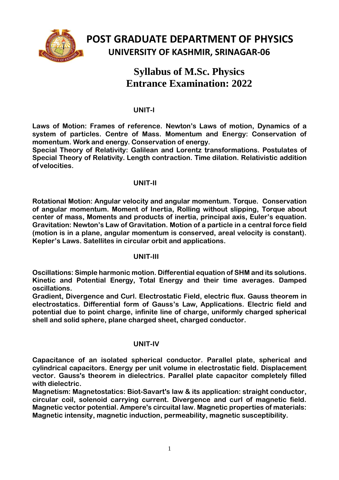

# **Syllabus of M.Sc. Physics Entrance Examination: 2022**

## **UNIT-I**

**Laws of Motion: Frames of reference. Newton's Laws of motion, Dynamics of a system of particles. Centre of Mass. Momentum and Energy: Conservation of momentum. Work and energy. Conservation of energy.**

**Special Theory of Relativity: Galilean and Lorentz transformations. Postulates of Special Theory of Relativity. Length contraction. Time dilation. Relativistic addition of velocities.**

### **UNIT-II**

**Rotational Motion: Angular velocity and angular momentum. Torque. Conservation of angular momentum. Moment of Inertia, Rolling without slipping, Torque about center of mass, Moments and products of inertia, principal axis, Euler's equation. Gravitation: Newton's Law of Gravitation. Motion of a particle in a central force field (motion is in a plane, angular momentum is conserved, areal velocity is constant). Kepler's Laws. Satellites in circular orbit and applications.**

### **UNIT-III**

**Oscillations: Simple harmonic motion. Differential equation of SHM and its solutions. Kinetic and Potential Energy, Total Energy and their time averages. Damped oscillations.**

**Gradient, Divergence and Curl. Electrostatic Field, electric flux. Gauss theorem in electrostatics. Differential form of Gauss's Law, Applications. Electric field and potential due to point charge, infinite line of charge, uniformly charged spherical shell and solid sphere, plane charged sheet, charged conductor.**

### **UNIT-IV**

**Capacitance of an isolated spherical conductor. Parallel plate, spherical and cylindrical capacitors. Energy per unit volume in electrostatic field. Displacement vector. Gauss's theorem in dielectrics. Parallel plate capacitor completely filled with dielectric.** 

**Magnetism: Magnetostatics: Biot-Savart's law & its application: straight conductor, circular coil, solenoid carrying current. Divergence and curl of magnetic field. Magnetic vector potential. Ampere's circuital law. Magnetic properties of materials: Magnetic intensity, magnetic induction, permeability, magnetic susceptibility.**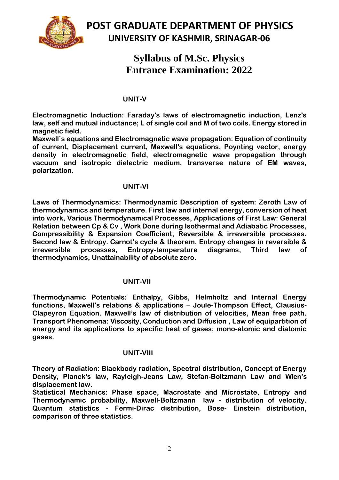

# **Syllabus of M.Sc. Physics Entrance Examination: 2022**

### **UNIT-V**

**Electromagnetic Induction: Faraday's laws of electromagnetic induction, Lenz's law, self and mutual inductance; L of single coil and M of two coils. Energy stored in magnetic field.** 

**Maxwell`s equations and Electromagnetic wave propagation: Equation of continuity of current, Displacement current, Maxwell's equations, Poynting vector, energy density in electromagnetic field, electromagnetic wave propagation through vacuum and isotropic dielectric medium, transverse nature of EM waves, polarization.**

### **UNIT-VI**

**Laws of Thermodynamics: Thermodynamic Description of system: Zeroth Law of thermodynamics and temperature. First law and internal energy, conversion of heat into work, Various Thermodynamical Processes, Applications of First Law: General Relation between Cp & Cv , Work Done during Isothermal and Adiabatic Processes, Compressibility & Expansion Coefficient, Reversible & irreversible processes. Second law & Entropy. Carnot's cycle & theorem, Entropy changes in reversible & irreversible processes, Entropy-temperature diagrams, Third law of thermodynamics, Unattainability of absolute zero.**

### **UNIT-VII**

**Thermodynamic Potentials: Enthalpy, Gibbs, Helmholtz and Internal Energy functions, Maxwell's relations & applications – Joule-Thompson Effect, Clausius-Clapeyron Equation. Maxwell's law of distribution of velocities, Mean free path. Transport Phenomena: Viscosity, Conduction and Diffusion , Law of equipartition of energy and its applications to specific heat of gases; mono-atomic and diatomic gases.**

### **UNIT-VIII**

**Theory of Radiation: Blackbody radiation, Spectral distribution, Concept of Energy Density, Planck's law, Rayleigh-Jeans Law, Stefan-Boltzmann Law and Wien's displacement law.**

**Statistical Mechanics: Phase space, Macrostate and Microstate, Entropy and Thermodynamic probability, Maxwell-Boltzmann law - distribution of velocity. Quantum statistics - Fermi-Dirac distribution, Bose- Einstein distribution, comparison of three statistics.**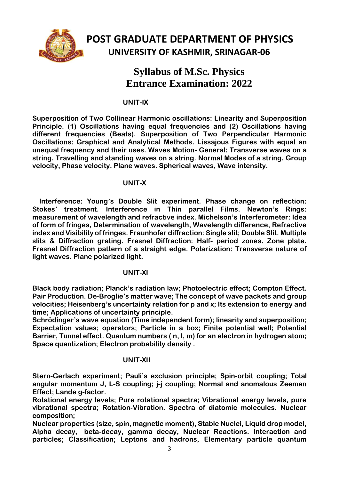

# **Syllabus of M.Sc. Physics Entrance Examination: 2022**

### **UNIT-IX**

**Superposition of Two Collinear Harmonic oscillations: Linearity and Superposition Principle. (1) Oscillations having equal frequencies and (2) Oscillations having different frequencies (Beats). Superposition of Two Perpendicular Harmonic Oscillations: Graphical and Analytical Methods. Lissajous Figures with equal an unequal frequency and their uses. Waves Motion- General: Transverse waves on a string. Travelling and standing waves on a string. Normal Modes of a string. Group velocity, Phase velocity. Plane waves. Spherical waves, Wave intensity.**

### **UNIT-X**

**Interference: Young's Double Slit experiment. Phase change on reflection: Stokes' treatment. Interference in Thin parallel Films. Newton's Rings: measurement of wavelength and refractive index. Michelson's Interferometer: Idea of form of fringes, Determination of wavelength, Wavelength difference, Refractive index and Visibility of fringes. Fraunhofer diffraction: Single slit; Double Slit. Multiple slits & Diffraction grating. Fresnel Diffraction: Half- period zones. Zone plate. Fresnel Diffraction pattern of a straight edge. Polarization: Transverse nature of light waves. Plane polarized light.**

## **UNIT-XI**

**Black body radiation; Planck's radiation law; Photoelectric effect; Compton Effect. Pair Production. De-Broglie's matter wave; The concept of wave packets and group velocities; Heisenberg's uncertainty relation for p and x; Its extension to energy and time; Applications of uncertainty principle.**

**Schrödinger's wave equation (Time independent form); linearity and superposition; Expectation values; operators; Particle in a box; Finite potential well; Potential Barrier, Tunnel effect. Quantum numbers ( n, l, m) for an electron in hydrogen atom; Space quantization; Electron probability density .**

## **UNIT-XII**

**Stern-Gerlach experiment; Pauli's exclusion principle; Spin-orbit coupling; Total angular momentum J, L-S coupling; j-j coupling; Normal and anomalous Zeeman Effect; Lande g-factor.** 

**Rotational energy levels; Pure rotational spectra; Vibrational energy levels, pure vibrational spectra; Rotation-Vibration. Spectra of diatomic molecules. Nuclear composition;** 

**Nuclear properties (size, spin, magnetic moment), Stable Nuclei, Liquid drop model, Alpha decay, beta-decay, gamma decay, Nuclear Reactions. Interaction and particles; Classification; Leptons and hadrons, Elementary particle quantum**